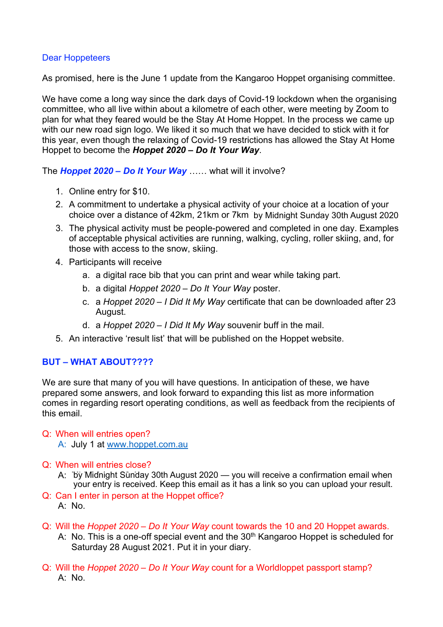# Dear Hoppeteers

As promised, here is the June 1 update from the Kangaroo Hoppet organising committee.

We have come a long way since the dark days of Covid-19 lockdown when the organising committee, who all live within about a kilometre of each other, were meeting by Zoom to plan for what they feared would be the Stay At Home Hoppet. In the process we came up with our new road sign logo. We liked it so much that we have decided to stick with it for this year, even though the relaxing of Covid-19 restrictions has allowed the Stay At Home Hoppet to become the *Hoppet 2020 – Do It Your Way*.

The *Hoppet 2020 – Do It Your Way* …… what will it involve?

- 1. Online entry for \$10.
- 2. A commitment to undertake a physical activity of your choice at a location of your choice over a distance of 42km, 21km or 7km by Midnight Sunday 30th August 2020
- 3. The physical activity must be people-powered and completed in one day. Examples of acceptable physical activities are running, walking, cycling, roller skiing, and, for those with access to the snow, skiing.
- 4. Participants will receive
	- a. a digital race bib that you can print and wear while taking part.
	- b. a digital *Hoppet 2020 Do It Your Way* poster.
	- c. a *Hoppet 2020 I Did It My Way* certificate that can be downloaded after 23 August.
	- d. a *Hoppet 2020 I Did It My Way* souvenir buff in the mail.
- 5. An interactive 'result list' that will be published on the Hoppet website.

# **BUT – WHAT ABOUT????**

We are sure that many of you will have questions. In anticipation of these, we have prepared some answers, and look forward to expanding this list as more information comes in regarding resort operating conditions, as well as feedback from the recipients of this email. choice over a distance of 42km, 21km or 7km by Midnight Sunday 30th August 2020<br>
3. The physical activity must be people-powered and completed in one day. Examples<br>
of acceptable physical activities are running, walking,

# Q: When will entries open?

- A: July 1 at www.hoppet.com.au
- Q: When will entries close?
	- A: by Midnight Sunday 30th August 2020 you will receive a confirmation email when your entry is received. Keep this email as it has a link so you can upload your result.
- Q: Can I enter in person at the Hoppet office? A: No.
- Q: Will the *Hoppet 2020 Do It Your Way* count towards the 10 and 20 Hoppet awards.
	- A: No. This is a one-off special event and the 30<sup>th</sup> Kangaroo Hoppet is scheduled for Saturday 28 August 2021. Put it in your diary.
- Q: Will the *Hoppet 2020 Do It Your Way* count for a Worldloppet passport stamp?